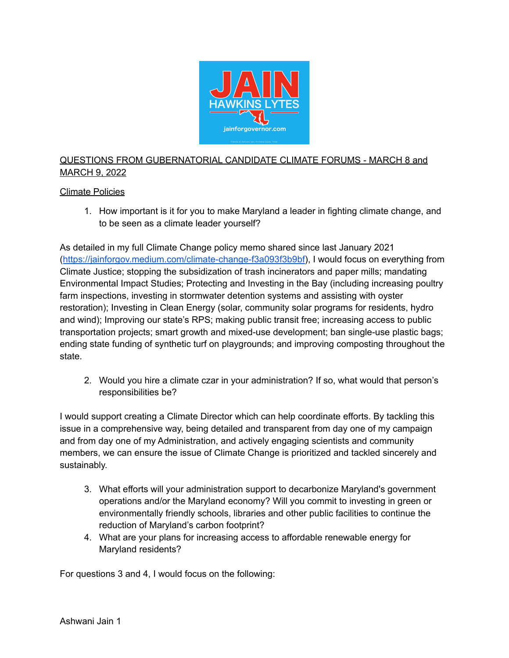

## QUESTIONS FROM GUBERNATORIAL CANDIDATE CLIMATE FORUMS - MARCH 8 and MARCH 9, 2022

## Climate Policies

1. How important is it for you to make Maryland a leader in fighting climate change, and to be seen as a climate leader yourself?

As detailed in my full Climate Change policy memo shared since last January 2021 ([https://jainforgov.medium.com/climate-change-f3a093f3b9bf\)](https://jainforgov.medium.com/climate-change-f3a093f3b9bf), I would focus on everything from Climate Justice; stopping the subsidization of trash incinerators and paper mills; mandating Environmental Impact Studies; Protecting and Investing in the Bay (including increasing poultry farm inspections, investing in stormwater detention systems and assisting with oyster restoration); Investing in Clean Energy (solar, community solar programs for residents, hydro and wind); Improving our state's RPS; making public transit free; increasing access to public transportation projects; smart growth and mixed-use development; ban single-use plastic bags; ending state funding of synthetic turf on playgrounds; and improving composting throughout the state.

2. Would you hire a climate czar in your administration? If so, what would that person's responsibilities be?

I would support creating a Climate Director which can help coordinate efforts. By tackling this issue in a comprehensive way, being detailed and transparent from day one of my campaign and from day one of my Administration, and actively engaging scientists and community members, we can ensure the issue of Climate Change is prioritized and tackled sincerely and sustainably.

- 3. What efforts will your administration support to decarbonize Maryland's government operations and/or the Maryland economy? Will you commit to investing in green or environmentally friendly schools, libraries and other public facilities to continue the reduction of Maryland's carbon footprint?
- 4. What are your plans for increasing access to affordable renewable energy for Maryland residents?

For questions 3 and 4, I would focus on the following: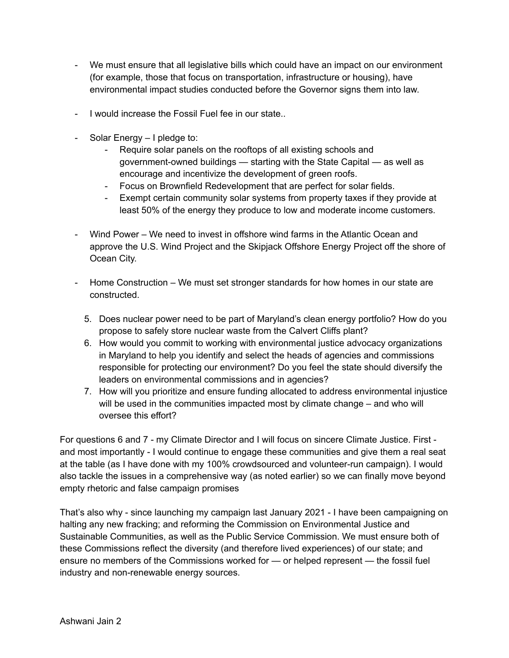- We must ensure that all legislative bills which could have an impact on our environment (for example, those that focus on transportation, infrastructure or housing), have environmental impact studies conducted before the Governor signs them into law.
- I would increase the Fossil Fuel fee in our state..
- Solar Energy I pledge to:
	- Require solar panels on the rooftops of all existing schools and government-owned buildings — starting with the State Capital — as well as encourage and incentivize the development of green roofs.
	- Focus on Brownfield Redevelopment that are perfect for solar fields.
	- Exempt certain community solar systems from property taxes if they provide at least 50% of the energy they produce to low and moderate income customers.
- Wind Power We need to invest in offshore wind farms in the Atlantic Ocean and approve the U.S. Wind Project and the Skipjack Offshore Energy Project off the shore of Ocean City.
- Home Construction We must set stronger standards for how homes in our state are constructed.
	- 5. Does nuclear power need to be part of Maryland's clean energy portfolio? How do you propose to safely store nuclear waste from the Calvert Cliffs plant?
	- 6. How would you commit to working with environmental justice advocacy organizations in Maryland to help you identify and select the heads of agencies and commissions responsible for protecting our environment? Do you feel the state should diversify the leaders on environmental commissions and in agencies?
	- 7. How will you prioritize and ensure funding allocated to address environmental injustice will be used in the communities impacted most by climate change – and who will oversee this effort?

For questions 6 and 7 - my Climate Director and I will focus on sincere Climate Justice. First and most importantly - I would continue to engage these communities and give them a real seat at the table (as I have done with my 100% crowdsourced and volunteer-run campaign). I would also tackle the issues in a comprehensive way (as noted earlier) so we can finally move beyond empty rhetoric and false campaign promises

That's also why - since launching my campaign last January 2021 - I have been campaigning on halting any new fracking; and reforming the Commission on Environmental Justice and Sustainable Communities, as well as the Public Service Commission. We must ensure both of these Commissions reflect the diversity (and therefore lived experiences) of our state; and ensure no members of the Commissions worked for — or helped represent — the fossil fuel industry and non-renewable energy sources.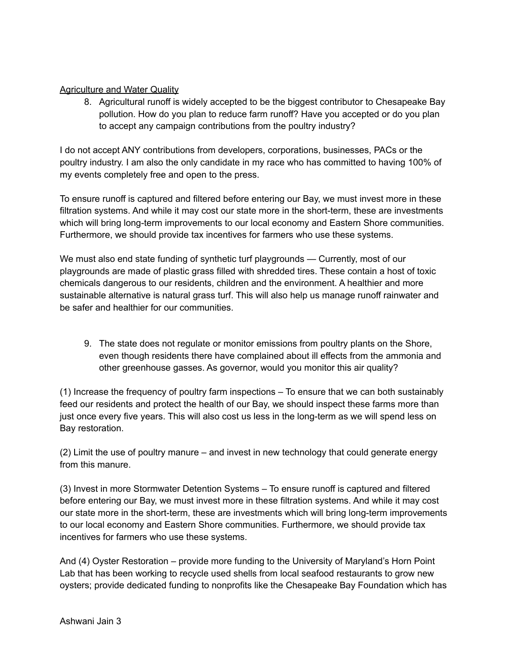## Agriculture and Water Quality

8. Agricultural runoff is widely accepted to be the biggest contributor to Chesapeake Bay pollution. How do you plan to reduce farm runoff? Have you accepted or do you plan to accept any campaign contributions from the poultry industry?

I do not accept ANY contributions from developers, corporations, businesses, PACs or the poultry industry. I am also the only candidate in my race who has committed to having 100% of my events completely free and open to the press.

To ensure runoff is captured and filtered before entering our Bay, we must invest more in these filtration systems. And while it may cost our state more in the short-term, these are investments which will bring long-term improvements to our local economy and Eastern Shore communities. Furthermore, we should provide tax incentives for farmers who use these systems.

We must also end state funding of synthetic turf playgrounds — Currently, most of our playgrounds are made of plastic grass filled with shredded tires. These contain a host of toxic chemicals dangerous to our residents, children and the environment. A healthier and more sustainable alternative is natural grass turf. This will also help us manage runoff rainwater and be safer and healthier for our communities.

9. The state does not regulate or monitor emissions from poultry plants on the Shore, even though residents there have complained about ill effects from the ammonia and other greenhouse gasses. As governor, would you monitor this air quality?

(1) Increase the frequency of poultry farm inspections – To ensure that we can both sustainably feed our residents and protect the health of our Bay, we should inspect these farms more than just once every five years. This will also cost us less in the long-term as we will spend less on Bay restoration.

(2) Limit the use of poultry manure – and invest in new technology that could generate energy from this manure.

(3) Invest in more Stormwater Detention Systems – To ensure runoff is captured and filtered before entering our Bay, we must invest more in these filtration systems. And while it may cost our state more in the short-term, these are investments which will bring long-term improvements to our local economy and Eastern Shore communities. Furthermore, we should provide tax incentives for farmers who use these systems.

And (4) Oyster Restoration – provide more funding to the University of Maryland's Horn Point Lab that has been working to recycle used shells from local seafood restaurants to grow new oysters; provide dedicated funding to nonprofits like the Chesapeake Bay Foundation which has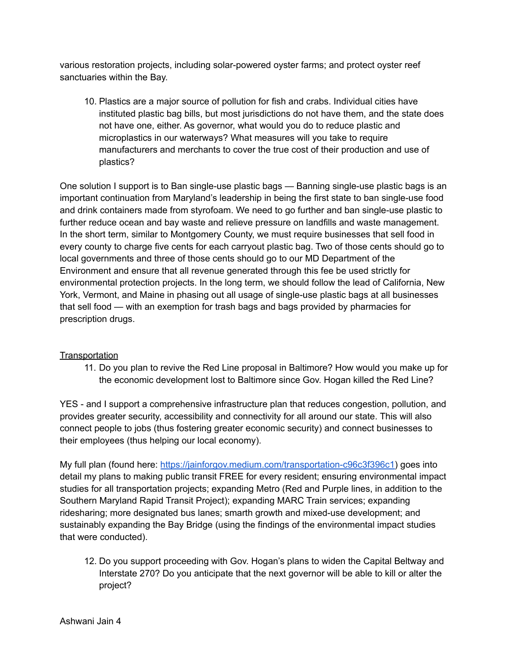various restoration projects, including solar-powered oyster farms; and protect oyster reef sanctuaries within the Bay.

10. Plastics are a major source of pollution for fish and crabs. Individual cities have instituted plastic bag bills, but most jurisdictions do not have them, and the state does not have one, either. As governor, what would you do to reduce plastic and microplastics in our waterways? What measures will you take to require manufacturers and merchants to cover the true cost of their production and use of plastics?

One solution I support is to Ban single-use plastic bags — Banning single-use plastic bags is an important continuation from Maryland's leadership in being the first state to ban single-use food and drink containers made from styrofoam. We need to go further and ban single-use plastic to further reduce ocean and bay waste and relieve pressure on landfills and waste management. In the short term, similar to Montgomery County, we must require businesses that sell food in every county to charge five cents for each carryout plastic bag. Two of those cents should go to local governments and three of those cents should go to our MD Department of the Environment and ensure that all revenue generated through this fee be used strictly for environmental protection projects. In the long term, we should follow the lead of California, New York, Vermont, and Maine in phasing out all usage of single-use plastic bags at all businesses that sell food — with an exemption for trash bags and bags provided by pharmacies for prescription drugs.

## **Transportation**

11. Do you plan to revive the Red Line proposal in Baltimore? How would you make up for the economic development lost to Baltimore since Gov. Hogan killed the Red Line?

YES - and I support a comprehensive infrastructure plan that reduces congestion, pollution, and provides greater security, accessibility and connectivity for all around our state. This will also connect people to jobs (thus fostering greater economic security) and connect businesses to their employees (thus helping our local economy).

My full plan (found here: <https://jainforgov.medium.com/transportation-c96c3f396c1>) goes into detail my plans to making public transit FREE for every resident; ensuring environmental impact studies for all transportation projects; expanding Metro (Red and Purple lines, in addition to the Southern Maryland Rapid Transit Project); expanding MARC Train services; expanding ridesharing; more designated bus lanes; smarth growth and mixed-use development; and sustainably expanding the Bay Bridge (using the findings of the environmental impact studies that were conducted).

12. Do you support proceeding with Gov. Hogan's plans to widen the Capital Beltway and Interstate 270? Do you anticipate that the next governor will be able to kill or alter the project?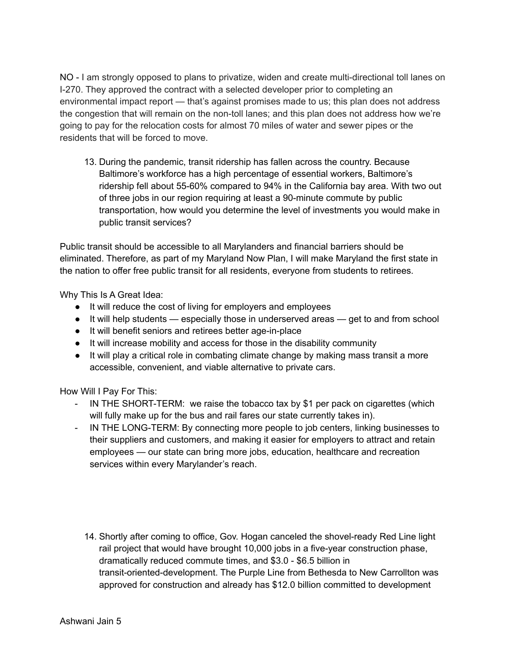NO - I am strongly opposed to plans to privatize, widen and create multi-directional toll lanes on I-270. They approved the contract with a selected developer prior to completing an environmental impact report — that's against promises made to us; this plan does not address the congestion that will remain on the non-toll lanes; and this plan does not address how we're going to pay for the relocation costs for almost 70 miles of water and sewer pipes or the residents that will be forced to move.

13. During the pandemic, transit ridership has fallen across the country. Because Baltimore's workforce has a high percentage of essential workers, Baltimore's ridership fell about 55-60% compared to 94% in the California bay area. With two out of three jobs in our region requiring at least a 90-minute commute by public transportation, how would you determine the level of investments you would make in public transit services?

Public transit should be accessible to all Marylanders and financial barriers should be eliminated. Therefore, as part of my Maryland Now Plan, I will make Maryland the first state in the nation to offer free public transit for all residents, everyone from students to retirees.

Why This Is A Great Idea:

- It will reduce the cost of living for employers and employees
- It will help students especially those in underserved areas get to and from school
- It will benefit seniors and retirees better age-in-place
- It will increase mobility and access for those in the disability community
- It will play a critical role in combating climate change by making mass transit a more accessible, convenient, and viable alternative to private cars.

How Will I Pay For This:

- IN THE SHORT-TERM: we raise the tobacco tax by \$1 per pack on cigarettes (which will fully make up for the bus and rail fares our state currently takes in).
- IN THE LONG-TERM: By connecting more people to job centers, linking businesses to their suppliers and customers, and making it easier for employers to attract and retain employees — our state can bring more jobs, education, healthcare and recreation services within every Marylander's reach.
	- 14. Shortly after coming to office, Gov. Hogan canceled the shovel-ready Red Line light rail project that would have brought 10,000 jobs in a five-year construction phase, dramatically reduced commute times, and \$3.0 - \$6.5 billion in transit-oriented-development. The Purple Line from Bethesda to New Carrollton was approved for construction and already has \$12.0 billion committed to development